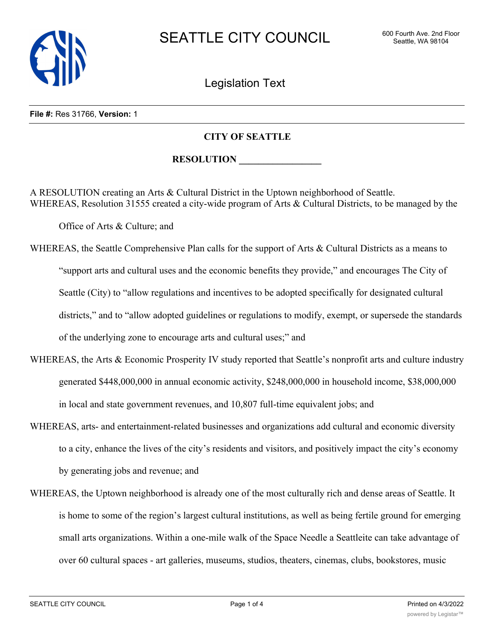

Legislation Text

## **File #:** Res 31766, **Version:** 1

## **CITY OF SEATTLE**

 $\bf{RESOLUTION}$ 

A RESOLUTION creating an Arts & Cultural District in the Uptown neighborhood of Seattle. WHEREAS, Resolution 31555 created a city-wide program of Arts & Cultural Districts, to be managed by the

Office of Arts & Culture; and

- WHEREAS, the Seattle Comprehensive Plan calls for the support of Arts & Cultural Districts as a means to "support arts and cultural uses and the economic benefits they provide," and encourages The City of Seattle (City) to "allow regulations and incentives to be adopted specifically for designated cultural districts," and to "allow adopted guidelines or regulations to modify, exempt, or supersede the standards of the underlying zone to encourage arts and cultural uses;" and
- WHEREAS, the Arts & Economic Prosperity IV study reported that Seattle's nonprofit arts and culture industry generated \$448,000,000 in annual economic activity, \$248,000,000 in household income, \$38,000,000 in local and state government revenues, and 10,807 full-time equivalent jobs; and
- WHEREAS, arts- and entertainment-related businesses and organizations add cultural and economic diversity to a city, enhance the lives of the city's residents and visitors, and positively impact the city's economy by generating jobs and revenue; and
- WHEREAS, the Uptown neighborhood is already one of the most culturally rich and dense areas of Seattle. It is home to some of the region's largest cultural institutions, as well as being fertile ground for emerging small arts organizations. Within a one-mile walk of the Space Needle a Seattleite can take advantage of over 60 cultural spaces - art galleries, museums, studios, theaters, cinemas, clubs, bookstores, music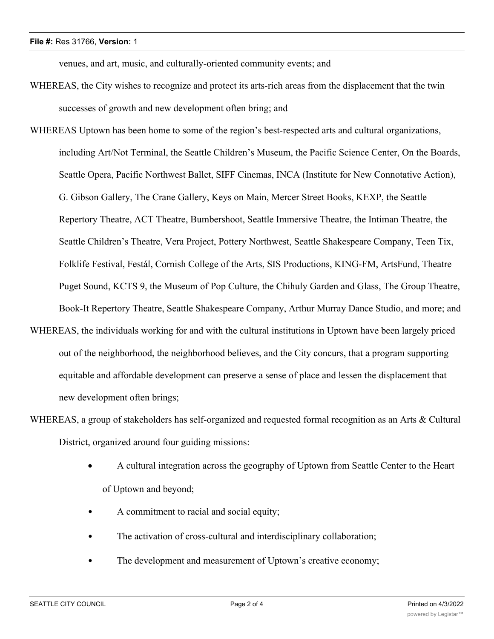venues, and art, music, and culturally-oriented community events; and

- WHEREAS, the City wishes to recognize and protect its arts-rich areas from the displacement that the twin successes of growth and new development often bring; and
- WHEREAS Uptown has been home to some of the region's best-respected arts and cultural organizations, including Art/Not Terminal, the Seattle Children's Museum, the Pacific Science Center, On the Boards, Seattle Opera, Pacific Northwest Ballet, SIFF Cinemas, INCA (Institute for New Connotative Action), G. Gibson Gallery, The Crane Gallery, Keys on Main, Mercer Street Books, KEXP, the Seattle Repertory Theatre, ACT Theatre, Bumbershoot, Seattle Immersive Theatre, the Intiman Theatre, the Seattle Children's Theatre, Vera Project, Pottery Northwest, Seattle Shakespeare Company, Teen Tix, Folklife Festival, Festál, Cornish College of the Arts, SIS Productions, KING-FM, ArtsFund, Theatre Puget Sound, KCTS 9, the Museum of Pop Culture, the Chihuly Garden and Glass, The Group Theatre, Book-It Repertory Theatre, Seattle Shakespeare Company, Arthur Murray Dance Studio, and more; and
- WHEREAS, the individuals working for and with the cultural institutions in Uptown have been largely priced out of the neighborhood, the neighborhood believes, and the City concurs, that a program supporting equitable and affordable development can preserve a sense of place and lessen the displacement that new development often brings;
- WHEREAS, a group of stakeholders has self-organized and requested formal recognition as an Arts & Cultural District, organized around four guiding missions:
	- A cultural integration across the geography of Uptown from Seattle Center to the Heart of Uptown and beyond;
	- A commitment to racial and social equity;
	- The activation of cross-cultural and interdisciplinary collaboration;
	- The development and measurement of Uptown's creative economy;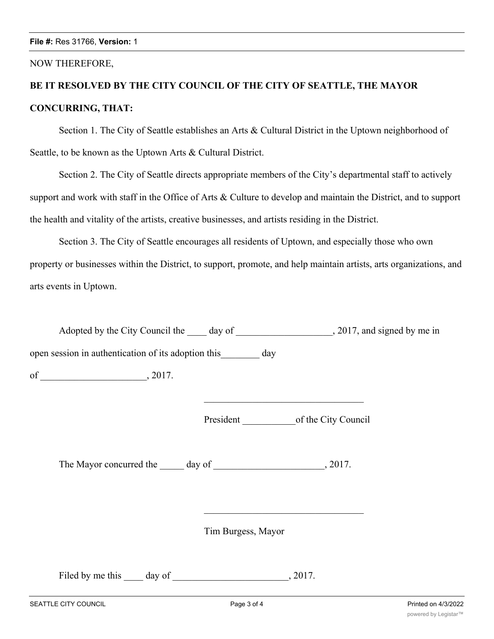## NOW THEREFORE,

## **BE IT RESOLVED BY THE CITY COUNCIL OF THE CITY OF SEATTLE, THE MAYOR CONCURRING, THAT:**

Section 1. The City of Seattle establishes an Arts & Cultural District in the Uptown neighborhood of Seattle, to be known as the Uptown Arts & Cultural District.

Section 2. The City of Seattle directs appropriate members of the City's departmental staff to actively support and work with staff in the Office of Arts & Culture to develop and maintain the District, and to support the health and vitality of the artists, creative businesses, and artists residing in the District.

Section 3. The City of Seattle encourages all residents of Uptown, and especially those who own property or businesses within the District, to support, promote, and help maintain artists, arts organizations, and arts events in Uptown.

Adopted by the City Council the \_\_\_\_ day of \_\_\_\_\_\_\_\_\_\_\_\_\_\_\_\_\_\_, 2017, and signed by me in open session in authentication of its adoption this day of \_\_\_\_\_\_\_\_\_\_\_\_\_\_\_\_\_\_\_\_\_\_, 2017.

President of the City Council

The Mayor concurred the day of 3017.

Tim Burgess, Mayor

Filed by me this \_\_\_\_ day of \_\_\_\_\_\_\_\_\_\_\_\_\_\_\_\_\_\_\_\_\_\_, 2017.